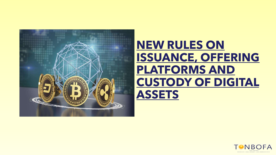

# **NEW RULES ON ISSUANCE, OFFERING PLATFORMS AND CUSTODY OF DIGITAL ASSETS**

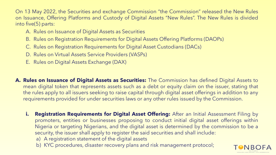On 13 May 2022, the Securities and exchange Commission "the Commission" released the New Rules on Issuance, Offering Platforms and Custody of Digital Assets "New Rules". The New Rules is divided into five(5) parts:

- A. Rules on Issuance of Digital Assets as Securities
- B. Rules on Registration Requirements for Digital Assets Offering Platforms (DAOPs)
- C. Rules on Registration Requirements for Digital Asset Custodians (DACs)
- D. Rules on Virtual Assets Service Providers (VASPs)
- E. Rules on Digital Assets Exchange (DAX)
- **A. Rules on Issuance of Digital Assets as Securities:** The Commission has defined Digital Assets to mean digital token that represents assets such as a debt or equity claim on the issuer, stating that the rules apply to all issuers seeking to raise capital through digital asset offerings in addition to any requirements provided for under securities laws or any other rules issued by the Commission.
	- **i. Registration Requirements for Digital Asset Offering:** After an Initial Assessment Filing by promoters, entities or businesses proposing to conduct initial digital asset offerings within Nigeria or targeting Nigerians, and the digital asset is determined by the commission to be a security, the issuer shall apply to register the said securities and shall include:
		- a) A registration statement of the digital assets
		- b) KYC procedures, disaster recovery plans and risk management protocol;

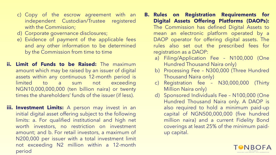- c) Copy of the escrow agreement with an independent Custodian/Trustee registered with the Commission;
- d) Corporate governance disclosures;
- e) Evidence of payment of the applicable fees and any other information to be determined by the Commission from time to time
- **ii. Limit of Funds to be Raised:** The maximum amount which may be raised by an issuer of digital assets within any continuous 12-month period is limited to a sum not exceeding NGN10,000,000,000 (ten billion naira) or twenty times the shareholders' funds of the issuer (if less).
- **iii. Investment Limits:** A person may invest in an initial digital asset offering subject to the following limits: a. For qualified institutional and high net worth investors, no restriction on investment amount; and b. For retail investors, a maximum of N200,000 per issuer with a total investment limit not exceeding N2 million within a 12-month period
- **B. Rules on Registration Requirements for Digital Assets Offering Platforms (DAOPs):** The Commission has defined Digital Assets to mean an electronic platform operated by a DAOP operator for offering digital assets. The rules also set out the prescribed fees for registration as a DAOP:
	- a) Filing/Application Fee N100,000 (One Hundred Thousand Naira only)
	- b) Processing Fee N300,000 (Three Hundred Thousand Naira only)
	- c) Registration fee N30,000,000 (Thirty Million Naira only)
	- d) Sponsored Individuals Fee N100,000 (One Hundred Thousand Naira only. A DAOP is also required to hold a minimum paid-up capital of NGN500,000,000 (five hundred million naira) and a current Fidelity Bond coverings at least 25% of the minimum paidup capital.

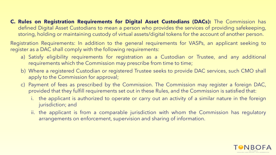#### **C. Rules on Registration Requirements for Digital Asset Custodians (DACs):** The Commission has defined Digital Asset Custodians to mean a person who provides the services of providing safekeeping, storing, holding or maintaining custody of virtual assets/digital tokens for the account of another person.

Registration Requirements: In addition to the general requirements for VASPs, an applicant seeking to register as a DAC shall comply with the following requirements:

- a) Satisfy eligibility requirements for registration as a Custodian or Trustee, and any additional requirements which the Commission may prescribe from time to time;
- b) Where a registered Custodian or registered Trustee seeks to provide DAC services, such CMO shall apply to the Commission for approval;
- c) Payment of fees as prescribed by the Commission. The Commission may register a foreign DAC, provided that they fulfill requirements set out in these Rules, and the Commission is satisfied that:
	- i. the applicant is authorized to operate or carry out an activity of a similar nature in the foreign jurisdiction; and
	- ii. the applicant is from a comparable jurisdiction with whom the Commission has regulatory arrangements on enforcement, supervision and sharing of information.

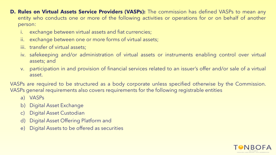- **D. Rules on Virtual Assets Service Providers (VASPs):** The commission has defined VASPs to mean any entity who conducts one or more of the following activities or operations for or on behalf of another person:
	- i. exchange between virtual assets and fiat currencies;
	- ii. exchange between one or more forms of virtual assets;
	- iii. transfer of virtual assets;
	- iv. safekeeping and/or administration of virtual assets or instruments enabling control over virtual assets; and
	- v. participation in and provision of financial services related to an issuer's offer and/or sale of a virtual asset.

VASPs are required to be structured as a body corporate unless specified otherwise by the Commission. VASPs general requirements also covers requirements for the following registrable entities

- a) VASPs
- b) Digital Asset Exchange
- c) Digital Asset Custodian
- d) Digital Asset Offering Platform and
- e) Digital Assets to be offered as securities